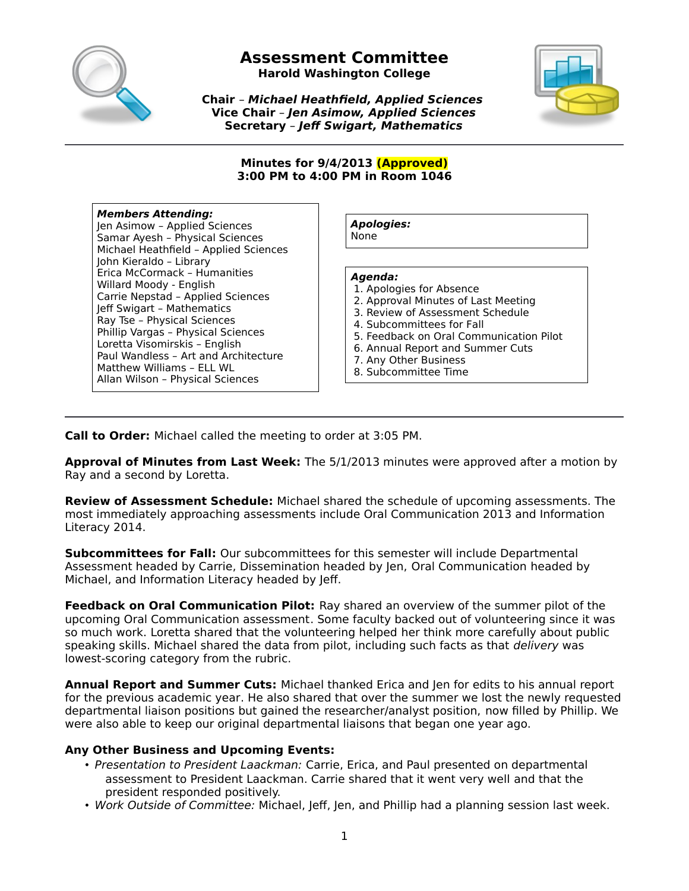

**Harold Washington College**

**Chair** – **Michael Heathfield, Applied Sciences Vice Chair** – **Jen Asimow, Applied Sciences Secretary** – **Jeff Swigart, Mathematics**



#### **Minutes for 9/4/2013 (Approved) 3:00 PM to 4:00 PM in Room 1046**

#### **Members Attending:**

Jen Asimow – Applied Sciences Samar Ayesh – Physical Sciences Michael Heathfield – Applied Sciences John Kieraldo – Library Erica McCormack – Humanities Willard Moody - English Carrie Nepstad – Applied Sciences Jeff Swigart – Mathematics Ray Tse – Physical Sciences Phillip Vargas – Physical Sciences Loretta Visomirskis – English Paul Wandless – Art and Architecture Matthew Williams – ELL WL Allan Wilson – Physical Sciences

**Apologies:** None

#### **Agenda:**

- 1. Apologies for Absence
- 2. Approval Minutes of Last Meeting
- 3. Review of Assessment Schedule
- 4. Subcommittees for Fall
- 5. Feedback on Oral Communication Pilot
- 6. Annual Report and Summer Cuts
- 7. Any Other Business
- 8. Subcommittee Time

**Call to Order:** Michael called the meeting to order at 3:05 PM.

**Approval of Minutes from Last Week:** The 5/1/2013 minutes were approved after a motion by Ray and a second by Loretta.

**Review of Assessment Schedule:** Michael shared the schedule of upcoming assessments. The most immediately approaching assessments include Oral Communication 2013 and Information Literacy 2014.

**Subcommittees for Fall:** Our subcommittees for this semester will include Departmental Assessment headed by Carrie, Dissemination headed by Jen, Oral Communication headed by Michael, and Information Literacy headed by Jeff.

**Feedback on Oral Communication Pilot:** Ray shared an overview of the summer pilot of the upcoming Oral Communication assessment. Some faculty backed out of volunteering since it was so much work. Loretta shared that the volunteering helped her think more carefully about public speaking skills. Michael shared the data from pilot, including such facts as that *delivery* was lowest-scoring category from the rubric.

**Annual Report and Summer Cuts:** Michael thanked Erica and Jen for edits to his annual report for the previous academic year. He also shared that over the summer we lost the newly requested departmental liaison positions but gained the researcher/analyst position, now filled by Phillip. We were also able to keep our original departmental liaisons that began one year ago.

#### **Any Other Business and Upcoming Events:**

- Presentation to President Laackman: Carrie, Erica, and Paul presented on departmental assessment to President Laackman. Carrie shared that it went very well and that the president responded positively.
- Work Outside of Committee: Michael, Jeff, Jen, and Phillip had a planning session last week.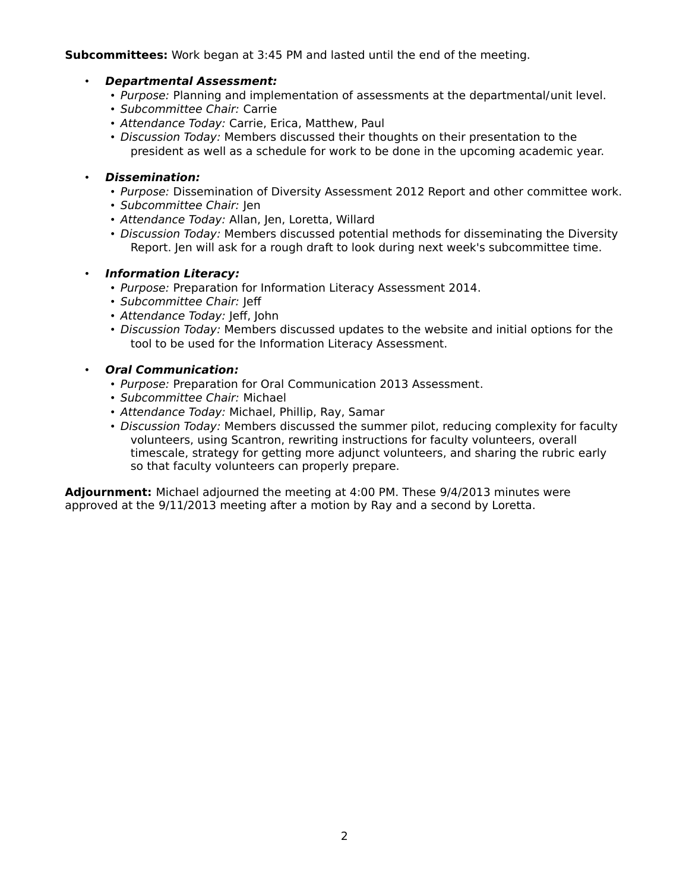#### **Subcommittees:** Work began at 3:45 PM and lasted until the end of the meeting.

#### • **Departmental Assessment:**

- Purpose: Planning and implementation of assessments at the departmental/unit level.
- Subcommittee Chair: Carrie
- Attendance Today: Carrie, Erica, Matthew, Paul
- Discussion Today: Members discussed their thoughts on their presentation to the president as well as a schedule for work to be done in the upcoming academic year.

### • **Dissemination:**

- Purpose: Dissemination of Diversity Assessment 2012 Report and other committee work.
- Subcommittee Chair: Jen
- Attendance Today: Allan, Jen, Loretta, Willard
- Discussion Today: Members discussed potential methods for disseminating the Diversity Report. Jen will ask for a rough draft to look during next week's subcommittee time.

#### • **Information Literacy:**

- Purpose: Preparation for Information Literacy Assessment 2014.
- Subcommittee Chair: Jeff
- Attendance Today: Jeff, John
- Discussion Today: Members discussed updates to the website and initial options for the tool to be used for the Information Literacy Assessment.

#### • **Oral Communication:**

- Purpose: Preparation for Oral Communication 2013 Assessment.
- Subcommittee Chair: Michael
- Attendance Today: Michael, Phillip, Ray, Samar
- Discussion Today: Members discussed the summer pilot, reducing complexity for faculty volunteers, using Scantron, rewriting instructions for faculty volunteers, overall timescale, strategy for getting more adjunct volunteers, and sharing the rubric early so that faculty volunteers can properly prepare.

**Adjournment:** Michael adjourned the meeting at 4:00 PM. These 9/4/2013 minutes were approved at the 9/11/2013 meeting after a motion by Ray and a second by Loretta.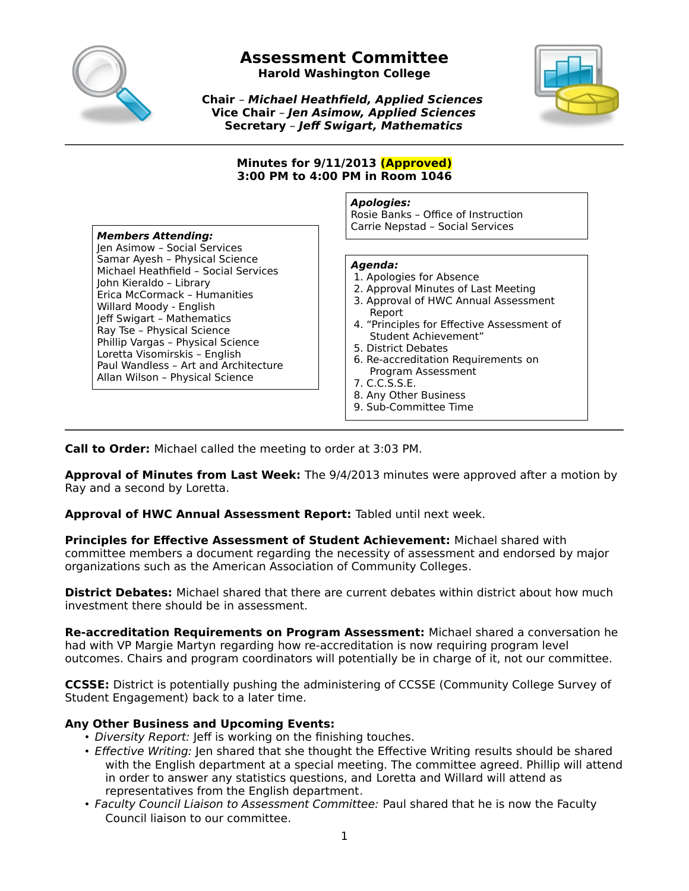

**Harold Washington College**

**Chair** – **Michael Heathfield, Applied Sciences Vice Chair** – **Jen Asimow, Applied Sciences Secretary** – **Jeff Swigart, Mathematics**



#### **Minutes for 9/11/2013 (Approved) 3:00 PM to 4:00 PM in Room 1046**

#### **Members Attending:**

Jen Asimow – Social Services Samar Ayesh – Physical Science Michael Heathfield – Social Services John Kieraldo – Library Erica McCormack – Humanities Willard Moody - English Jeff Swigart – Mathematics Ray Tse – Physical Science Phillip Vargas – Physical Science Loretta Visomirskis – English Paul Wandless – Art and Architecture Allan Wilson – Physical Science

**Apologies:** Rosie Banks – Office of Instruction Carrie Nepstad – Social Services

#### **Agenda:**

- 1. Apologies for Absence
- 2. Approval Minutes of Last Meeting
- 3. Approval of HWC Annual Assessment Report
- 4. "Principles for Effective Assessment of Student Achievement"
- 5. District Debates
- 6. Re-accreditation Requirements on Program Assessment
- 7. C.C.S.S.E.
- 8. Any Other Business
- 9. Sub-Committee Time
- 

**Call to Order:** Michael called the meeting to order at 3:03 PM.

**Approval of Minutes from Last Week:** The 9/4/2013 minutes were approved after a motion by Ray and a second by Loretta.

**Approval of HWC Annual Assessment Report:** Tabled until next week.

**Principles for Effective Assessment of Student Achievement:** Michael shared with committee members a document regarding the necessity of assessment and endorsed by major organizations such as the American Association of Community Colleges.

**District Debates:** Michael shared that there are current debates within district about how much investment there should be in assessment.

**Re-accreditation Requirements on Program Assessment:** Michael shared a conversation he had with VP Margie Martyn regarding how re-accreditation is now requiring program level outcomes. Chairs and program coordinators will potentially be in charge of it, not our committee.

**CCSSE:** District is potentially pushing the administering of CCSSE (Community College Survey of Student Engagement) back to a later time.

#### **Any Other Business and Upcoming Events:**

- Diversity Report: Jeff is working on the finishing touches.
- *Effective Writing:* Jen shared that she thought the Effective Writing results should be shared with the English department at a special meeting. The committee agreed. Phillip will attend in order to answer any statistics questions, and Loretta and Willard will attend as representatives from the English department.
- Faculty Council Liaison to Assessment Committee: Paul shared that he is now the Faculty Council liaison to our committee.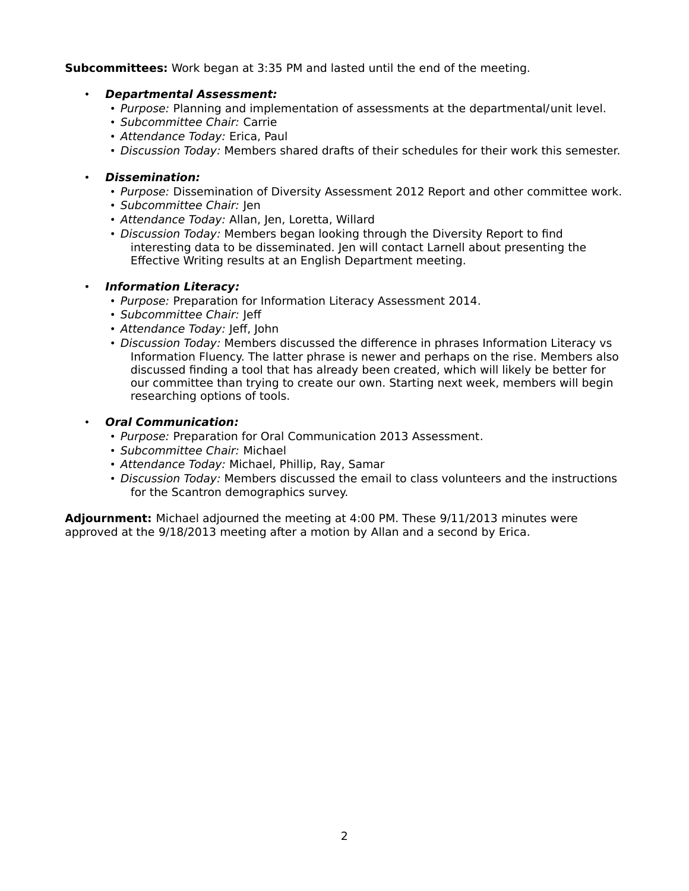#### **Subcommittees:** Work began at 3:35 PM and lasted until the end of the meeting.

#### • **Departmental Assessment:**

- Purpose: Planning and implementation of assessments at the departmental/unit level.
- Subcommittee Chair: Carrie
- Attendance Today: Erica, Paul
- Discussion Today: Members shared drafts of their schedules for their work this semester.

### • **Dissemination:**

- Purpose: Dissemination of Diversity Assessment 2012 Report and other committee work.
- Subcommittee Chair: Jen
- Attendance Today: Allan, Jen, Loretta, Willard
- Discussion Today: Members began looking through the Diversity Report to find interesting data to be disseminated. Jen will contact Larnell about presenting the Effective Writing results at an English Department meeting.

#### • **Information Literacy:**

- Purpose: Preparation for Information Literacy Assessment 2014.
- Subcommittee Chair: Jeff
- Attendance Today: Jeff, John
- Discussion Today: Members discussed the difference in phrases Information Literacy vs Information Fluency. The latter phrase is newer and perhaps on the rise. Members also discussed finding a tool that has already been created, which will likely be better for our committee than trying to create our own. Starting next week, members will begin researching options of tools.

#### • **Oral Communication:**

- Purpose: Preparation for Oral Communication 2013 Assessment.
- Subcommittee Chair: Michael
- Attendance Today: Michael, Phillip, Ray, Samar
- Discussion Today: Members discussed the email to class volunteers and the instructions for the Scantron demographics survey.

**Adjournment:** Michael adjourned the meeting at 4:00 PM. These 9/11/2013 minutes were approved at the 9/18/2013 meeting after a motion by Allan and a second by Erica.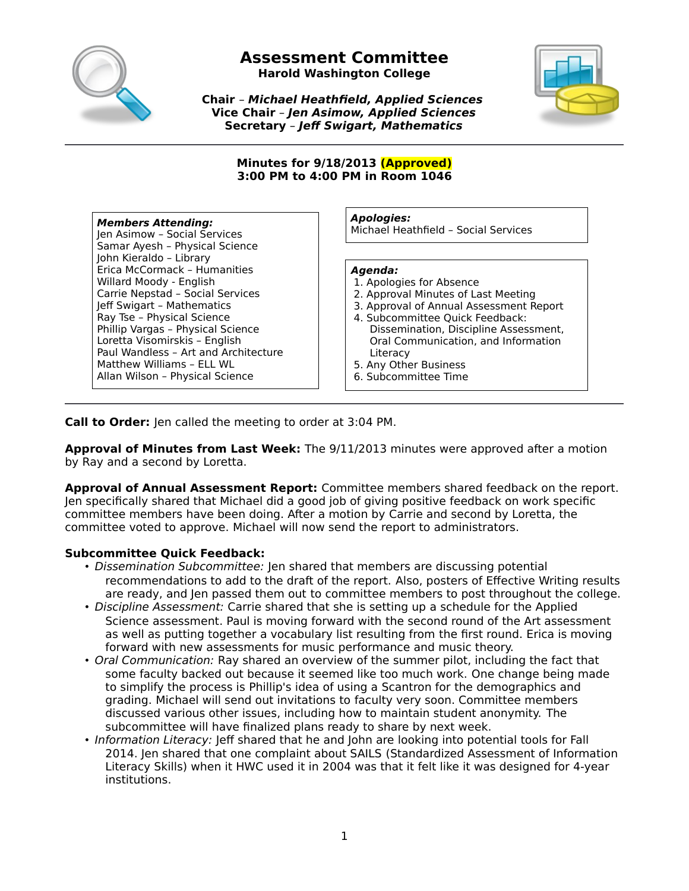

# **Assessment Committee Harold Washington College**

**Chair** – **Michael Heathfield, Applied Sciences Vice Chair** – **Jen Asimow, Applied Sciences**



**Secretary** – **Jeff Swigart, Mathematics**

**Minutes for 9/18/2013 (Approved) 3:00 PM to 4:00 PM in Room 1046**

#### **Members Attending:** Jen Asimow – Social Services Samar Ayesh – Physical Science John Kieraldo – Library Erica McCormack – Humanities Willard Moody - English Carrie Nepstad – Social Services Jeff Swigart – Mathematics Ray Tse – Physical Science Phillip Vargas – Physical Science Loretta Visomirskis – English Paul Wandless – Art and Architecture Matthew Williams – ELL WL Allan Wilson – Physical Science

**Apologies:**

Michael Heathfield – Social Services

#### **Agenda:**

- 1. Apologies for Absence
- 2. Approval Minutes of Last Meeting
- 3. Approval of Annual Assessment Report
- 4. Subcommittee Quick Feedback: Dissemination, Discipline Assessment, Oral Communication, and Information **Literacy**
- 5. Any Other Business
- 6. Subcommittee Time

**Call to Order:** Jen called the meeting to order at 3:04 PM.

**Approval of Minutes from Last Week:** The 9/11/2013 minutes were approved after a motion by Ray and a second by Loretta.

**Approval of Annual Assessment Report:** Committee members shared feedback on the report. Jen specifically shared that Michael did a good job of giving positive feedback on work specific committee members have been doing. After a motion by Carrie and second by Loretta, the committee voted to approve. Michael will now send the report to administrators.

# **Subcommittee Quick Feedback:**

- Dissemination Subcommittee: Jen shared that members are discussing potential recommendations to add to the draft of the report. Also, posters of Effective Writing results are ready, and Jen passed them out to committee members to post throughout the college.
- Discipline Assessment: Carrie shared that she is setting up a schedule for the Applied Science assessment. Paul is moving forward with the second round of the Art assessment as well as putting together a vocabulary list resulting from the first round. Erica is moving forward with new assessments for music performance and music theory.
- Oral Communication: Ray shared an overview of the summer pilot, including the fact that some faculty backed out because it seemed like too much work. One change being made to simplify the process is Phillip's idea of using a Scantron for the demographics and grading. Michael will send out invitations to faculty very soon. Committee members discussed various other issues, including how to maintain student anonymity. The subcommittee will have finalized plans ready to share by next week.
- Information Literacy: Jeff shared that he and John are looking into potential tools for Fall 2014. Jen shared that one complaint about SAILS (Standardized Assessment of Information Literacy Skills) when it HWC used it in 2004 was that it felt like it was designed for 4-year institutions.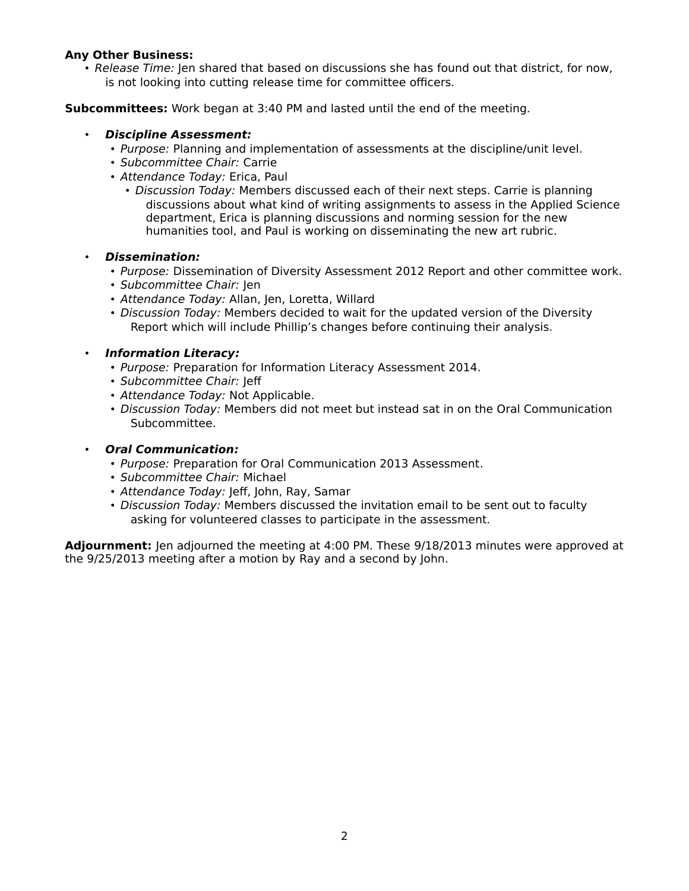#### **Any Other Business:**

• Release Time: Jen shared that based on discussions she has found out that district, for now, is not looking into cutting release time for committee officers.

**Subcommittees:** Work began at 3:40 PM and lasted until the end of the meeting.

#### • **Discipline Assessment:**

- Purpose: Planning and implementation of assessments at the discipline/unit level.
- Subcommittee Chair: Carrie
- Attendance Today: Erica, Paul
	- Discussion Today: Members discussed each of their next steps. Carrie is planning discussions about what kind of writing assignments to assess in the Applied Science department, Erica is planning discussions and norming session for the new humanities tool, and Paul is working on disseminating the new art rubric.

#### • **Dissemination:**

- Purpose: Dissemination of Diversity Assessment 2012 Report and other committee work.
- Subcommittee Chair: Jen
- Attendance Today: Allan, Jen, Loretta, Willard
- Discussion Today: Members decided to wait for the updated version of the Diversity Report which will include Phillip's changes before continuing their analysis.

#### • **Information Literacy:**

- Purpose: Preparation for Information Literacy Assessment 2014.
- Subcommittee Chair: Jeff
- Attendance Today: Not Applicable.
- Discussion Today: Members did not meet but instead sat in on the Oral Communication Subcommittee.

#### • **Oral Communication:**

- Purpose: Preparation for Oral Communication 2013 Assessment.
- Subcommittee Chair: Michael
- Attendance Today: Jeff, John, Ray, Samar
- Discussion Today: Members discussed the invitation email to be sent out to faculty asking for volunteered classes to participate in the assessment.

**Adjournment:** Jen adjourned the meeting at 4:00 PM. These 9/18/2013 minutes were approved at the 9/25/2013 meeting after a motion by Ray and a second by John.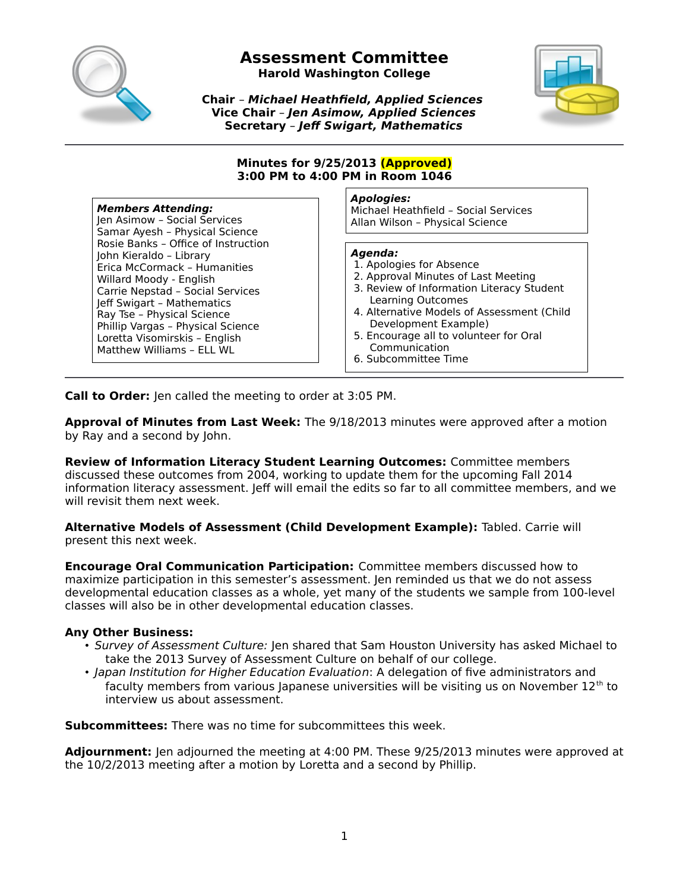

**Harold Washington College**



**Chair** – **Michael Heathfield, Applied Sciences Vice Chair** – **Jen Asimow, Applied Sciences Secretary** – **Jeff Swigart, Mathematics**

#### **Minutes for 9/25/2013 (Approved) 3:00 PM to 4:00 PM in Room 1046**

#### **Members Attending:**

Jen Asimow – Social Services Samar Ayesh – Physical Science Rosie Banks – Office of Instruction John Kieraldo – Library Erica McCormack – Humanities Willard Moody - English Carrie Nepstad – Social Services Jeff Swigart – Mathematics Ray Tse – Physical Science Phillip Vargas – Physical Science Loretta Visomirskis – English Matthew Williams – ELL WL

#### **Apologies:**

Michael Heathfield – Social Services Allan Wilson – Physical Science

#### **Agenda:**

- 1. Apologies for Absence
- 2. Approval Minutes of Last Meeting
- 3. Review of Information Literacy Student Learning Outcomes
- 4. Alternative Models of Assessment (Child Development Example)
- 5. Encourage all to volunteer for Oral Communication
- 6. Subcommittee Time

**Call to Order:** Jen called the meeting to order at 3:05 PM.

**Approval of Minutes from Last Week:** The 9/18/2013 minutes were approved after a motion by Ray and a second by John.

**Review of Information Literacy Student Learning Outcomes:** Committee members discussed these outcomes from 2004, working to update them for the upcoming Fall 2014 information literacy assessment. Jeff will email the edits so far to all committee members, and we will revisit them next week.

**Alternative Models of Assessment (Child Development Example):** Tabled. Carrie will present this next week.

**Encourage Oral Communication Participation:** Committee members discussed how to maximize participation in this semester's assessment. Jen reminded us that we do not assess developmental education classes as a whole, yet many of the students we sample from 100-level classes will also be in other developmental education classes.

#### **Any Other Business:**

- Survey of Assessment Culture: Jen shared that Sam Houston University has asked Michael to take the 2013 Survey of Assessment Culture on behalf of our college.
- Japan Institution for Higher Education Evaluation: A delegation of five administrators and faculty members from various Japanese universities will be visiting us on November  $12<sup>th</sup>$  to interview us about assessment.

**Subcommittees:** There was no time for subcommittees this week.

**Adjournment:** Jen adjourned the meeting at 4:00 PM. These 9/25/2013 minutes were approved at the 10/2/2013 meeting after a motion by Loretta and a second by Phillip.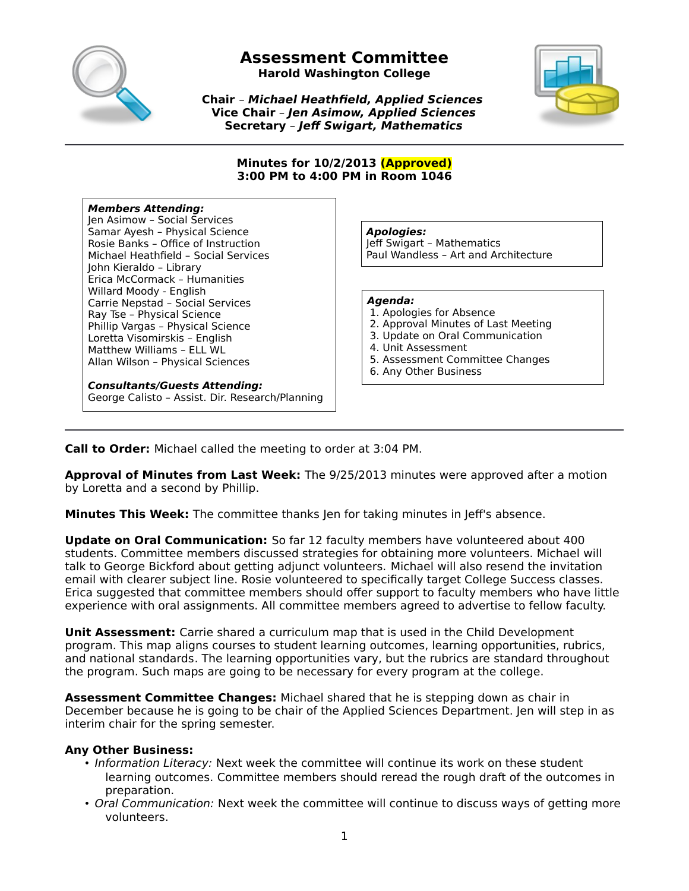

**Harold Washington College**

**Chair** – **Michael Heathfield, Applied Sciences Vice Chair** – **Jen Asimow, Applied Sciences Secretary** – **Jeff Swigart, Mathematics**



#### **Minutes for 10/2/2013 (Approved) 3:00 PM to 4:00 PM in Room 1046**

#### **Members Attending:**

Jen Asimow – Social Services Samar Ayesh – Physical Science Rosie Banks – Office of Instruction Michael Heathfield – Social Services John Kieraldo – Library Erica McCormack – Humanities Willard Moody - English Carrie Nepstad – Social Services Ray Tse – Physical Science Phillip Vargas – Physical Science Loretta Visomirskis – English Matthew Williams – ELL WL Allan Wilson – Physical Sciences

**Consultants/Guests Attending:** George Calisto – Assist. Dir. Research/Planning **Apologies:**

Jeff Swigart – Mathematics Paul Wandless – Art and Architecture

# **Agenda:**

- 1. Apologies for Absence
- 2. Approval Minutes of Last Meeting
- 3. Update on Oral Communication
- 4. Unit Assessment
- 5. Assessment Committee Changes
- 6. Any Other Business

**Call to Order:** Michael called the meeting to order at 3:04 PM.

**Approval of Minutes from Last Week:** The 9/25/2013 minutes were approved after a motion by Loretta and a second by Phillip.

**Minutes This Week:** The committee thanks Jen for taking minutes in Jeff's absence.

**Update on Oral Communication:** So far 12 faculty members have volunteered about 400 students. Committee members discussed strategies for obtaining more volunteers. Michael will talk to George Bickford about getting adjunct volunteers. Michael will also resend the invitation email with clearer subject line. Rosie volunteered to specifically target College Success classes. Erica suggested that committee members should offer support to faculty members who have little experience with oral assignments. All committee members agreed to advertise to fellow faculty.

**Unit Assessment:** Carrie shared a curriculum map that is used in the Child Development program. This map aligns courses to student learning outcomes, learning opportunities, rubrics, and national standards. The learning opportunities vary, but the rubrics are standard throughout the program. Such maps are going to be necessary for every program at the college.

**Assessment Committee Changes:** Michael shared that he is stepping down as chair in December because he is going to be chair of the Applied Sciences Department. Jen will step in as interim chair for the spring semester.

# **Any Other Business:**

- Information Literacy: Next week the committee will continue its work on these student learning outcomes. Committee members should reread the rough draft of the outcomes in preparation.
- Oral Communication: Next week the committee will continue to discuss ways of getting more volunteers.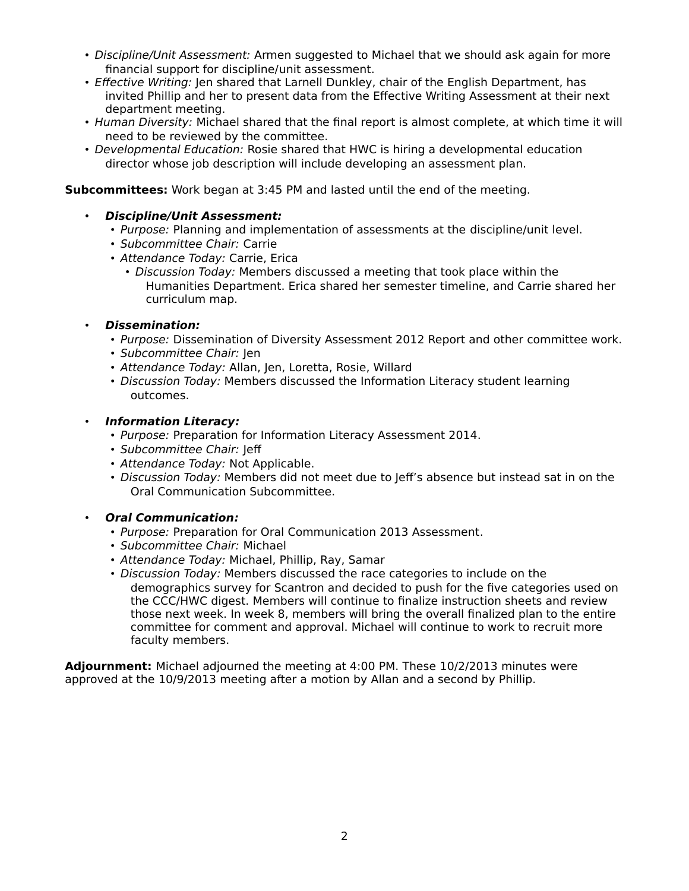- Discipline/Unit Assessment: Armen suggested to Michael that we should ask again for more financial support for discipline/unit assessment.
- Effective Writing: Jen shared that Larnell Dunkley, chair of the English Department, has invited Phillip and her to present data from the Effective Writing Assessment at their next department meeting.
- Human Diversity: Michael shared that the final report is almost complete, at which time it will need to be reviewed by the committee.
- Developmental Education: Rosie shared that HWC is hiring a developmental education director whose job description will include developing an assessment plan.

**Subcommittees:** Work began at 3:45 PM and lasted until the end of the meeting.

- **Discipline/Unit Assessment:**
	- Purpose: Planning and implementation of assessments at the discipline/unit level.
	- Subcommittee Chair: Carrie
	- Attendance Today: Carrie, Erica
		- Discussion Today: Members discussed a meeting that took place within the Humanities Department. Erica shared her semester timeline, and Carrie shared her curriculum map.
- **Dissemination:**
	- Purpose: Dissemination of Diversity Assessment 2012 Report and other committee work.
	- Subcommittee Chair: Jen
	- Attendance Today: Allan, Jen, Loretta, Rosie, Willard
	- Discussion Today: Members discussed the Information Literacy student learning outcomes.
- **Information Literacy:**
	- Purpose: Preparation for Information Literacy Assessment 2014.
	- Subcommittee Chair: Jeff
	- Attendance Today: Not Applicable.
	- Discussion Today: Members did not meet due to Jeff's absence but instead sat in on the Oral Communication Subcommittee.

#### • **Oral Communication:**

- Purpose: Preparation for Oral Communication 2013 Assessment.
- Subcommittee Chair: Michael
- Attendance Today: Michael, Phillip, Ray, Samar
- Discussion Today: Members discussed the race categories to include on the demographics survey for Scantron and decided to push for the five categories used on the CCC/HWC digest. Members will continue to finalize instruction sheets and review those next week. In week 8, members will bring the overall finalized plan to the entire committee for comment and approval. Michael will continue to work to recruit more faculty members.

**Adjournment:** Michael adjourned the meeting at 4:00 PM. These 10/2/2013 minutes were approved at the 10/9/2013 meeting after a motion by Allan and a second by Phillip.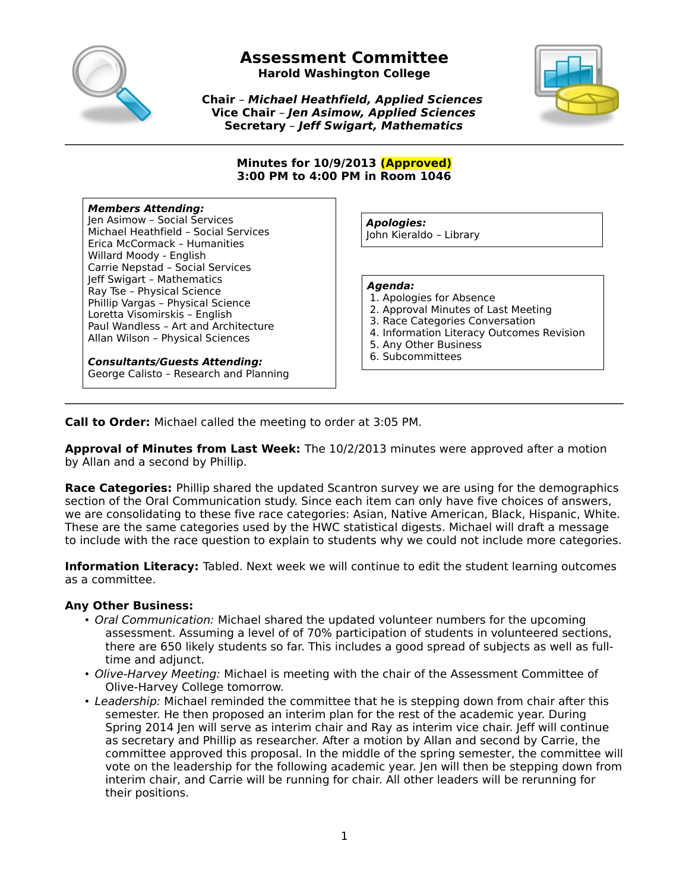

**Harold Washington College**

**Chair** – **Michael Heathfield, Applied Sciences Vice Chair** – **Jen Asimow, Applied Sciences Secretary** – **Jeff Swigart, Mathematics**



#### **Minutes for 10/9/2013 (Approved) 3:00 PM to 4:00 PM in Room 1046**

#### **Members Attending:**

Jen Asimow – Social Services Michael Heathfield – Social Services Erica McCormack – Humanities Willard Moody - English Carrie Nepstad – Social Services Jeff Swigart – Mathematics Ray Tse – Physical Science Phillip Vargas – Physical Science Loretta Visomirskis – English Paul Wandless – Art and Architecture Allan Wilson – Physical Sciences

**Consultants/Guests Attending:** George Calisto – Research and Planning

**Apologies:** John Kieraldo – Library

#### **Agenda:**

- 1. Apologies for Absence
- 2. Approval Minutes of Last Meeting
- 3. Race Categories Conversation
- 4. Information Literacy Outcomes Revision
- 5. Any Other Business
- 6. Subcommittees

**Call to Order:** Michael called the meeting to order at 3:05 PM.

**Approval of Minutes from Last Week:** The 10/2/2013 minutes were approved after a motion by Allan and a second by Phillip.

**Race Categories:** Phillip shared the updated Scantron survey we are using for the demographics section of the Oral Communication study. Since each item can only have five choices of answers, we are consolidating to these five race categories: Asian, Native American, Black, Hispanic, White. These are the same categories used by the HWC statistical digests. Michael will draft a message to include with the race question to explain to students why we could not include more categories.

**Information Literacy:** Tabled. Next week we will continue to edit the student learning outcomes as a committee.

#### **Any Other Business:**

- Oral Communication: Michael shared the updated volunteer numbers for the upcoming assessment. Assuming a level of of 70% participation of students in volunteered sections, there are 650 likely students so far. This includes a good spread of subjects as well as fulltime and adjunct.
- Olive-Harvey Meeting: Michael is meeting with the chair of the Assessment Committee of Olive-Harvey College tomorrow.
- Leadership: Michael reminded the committee that he is stepping down from chair after this semester. He then proposed an interim plan for the rest of the academic year. During Spring 2014 Jen will serve as interim chair and Ray as interim vice chair. Jeff will continue as secretary and Phillip as researcher. After a motion by Allan and second by Carrie, the committee approved this proposal. In the middle of the spring semester, the committee will vote on the leadership for the following academic year. Jen will then be stepping down from interim chair, and Carrie will be running for chair. All other leaders will be rerunning for their positions.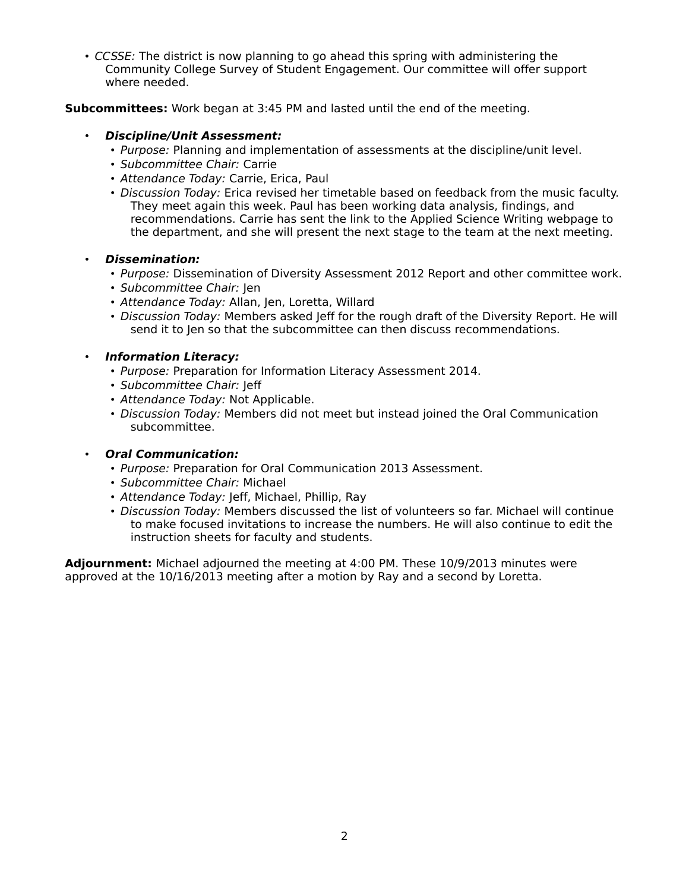• CCSSE: The district is now planning to go ahead this spring with administering the Community College Survey of Student Engagement. Our committee will offer support where needed.

**Subcommittees:** Work began at 3:45 PM and lasted until the end of the meeting.

# • **Discipline/Unit Assessment:**

- Purpose: Planning and implementation of assessments at the discipline/unit level.
- Subcommittee Chair: Carrie
- Attendance Today: Carrie, Erica, Paul
- Discussion Today: Erica revised her timetable based on feedback from the music faculty. They meet again this week. Paul has been working data analysis, findings, and recommendations. Carrie has sent the link to the Applied Science Writing webpage to the department, and she will present the next stage to the team at the next meeting.

#### • **Dissemination:**

- Purpose: Dissemination of Diversity Assessment 2012 Report and other committee work.
- Subcommittee Chair: Jen
- Attendance Today: Allan, Jen, Loretta, Willard
- Discussion Today: Members asked Jeff for the rough draft of the Diversity Report. He will send it to Jen so that the subcommittee can then discuss recommendations.

#### • **Information Literacy:**

- Purpose: Preparation for Information Literacy Assessment 2014.
- Subcommittee Chair: Jeff
- Attendance Today: Not Applicable.
- Discussion Today: Members did not meet but instead joined the Oral Communication subcommittee.

# • **Oral Communication:**

- Purpose: Preparation for Oral Communication 2013 Assessment.
- Subcommittee Chair: Michael
- Attendance Today: Jeff, Michael, Phillip, Ray
- Discussion Today: Members discussed the list of volunteers so far. Michael will continue to make focused invitations to increase the numbers. He will also continue to edit the instruction sheets for faculty and students.

**Adjournment:** Michael adjourned the meeting at 4:00 PM. These 10/9/2013 minutes were approved at the 10/16/2013 meeting after a motion by Ray and a second by Loretta.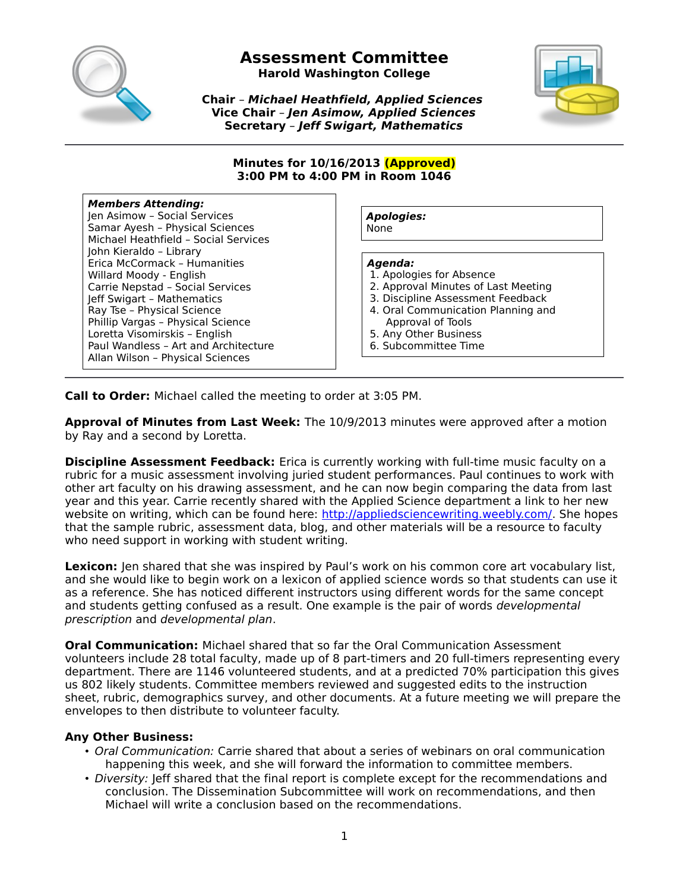

**Harold Washington College**

**Chair** – **Michael Heathfield, Applied Sciences Vice Chair** – **Jen Asimow, Applied Sciences Secretary** – **Jeff Swigart, Mathematics**



#### **Minutes for 10/16/2013 (Approved) 3:00 PM to 4:00 PM in Room 1046**

# **Members Attending:**

Jen Asimow – Social Services Samar Ayesh – Physical Sciences Michael Heathfield – Social Services John Kieraldo – Library Erica McCormack – Humanities Willard Moody - English Carrie Nepstad – Social Services Jeff Swigart – Mathematics Ray Tse – Physical Science Phillip Vargas – Physical Science Loretta Visomirskis – English Paul Wandless – Art and Architecture Allan Wilson – Physical Sciences

**Apologies:** None

**Agenda:**

- 
- 1. Apologies for Absence 2. Approval Minutes of Last Meeting
- 3. Discipline Assessment Feedback
- 4. Oral Communication Planning and Approval of Tools
- 5. Any Other Business
- 6. Subcommittee Time

**Call to Order:** Michael called the meeting to order at 3:05 PM.

**Approval of Minutes from Last Week:** The 10/9/2013 minutes were approved after a motion by Ray and a second by Loretta.

**Discipline Assessment Feedback:** Erica is currently working with full-time music faculty on a rubric for a music assessment involving juried student performances. Paul continues to work with other art faculty on his drawing assessment, and he can now begin comparing the data from last year and this year. Carrie recently shared with the Applied Science department a link to her new website on writing, which can be found here: [http://appliedsciencewriting.weebly.com/.](http://appliedsciencewriting.weebly.com/) She hopes that the sample rubric, assessment data, blog, and other materials will be a resource to faculty who need support in working with student writing.

Lexicon: len shared that she was inspired by Paul's work on his common core art vocabulary list, and she would like to begin work on a lexicon of applied science words so that students can use it as a reference. She has noticed different instructors using different words for the same concept and students getting confused as a result. One example is the pair of words developmental prescription and developmental plan.

**Oral Communication:** Michael shared that so far the Oral Communication Assessment volunteers include 28 total faculty, made up of 8 part-timers and 20 full-timers representing every department. There are 1146 volunteered students, and at a predicted 70% participation this gives us 802 likely students. Committee members reviewed and suggested edits to the instruction sheet, rubric, demographics survey, and other documents. At a future meeting we will prepare the envelopes to then distribute to volunteer faculty.

# **Any Other Business:**

- Oral Communication: Carrie shared that about a series of webinars on oral communication happening this week, and she will forward the information to committee members.
- Diversity: Jeff shared that the final report is complete except for the recommendations and conclusion. The Dissemination Subcommittee will work on recommendations, and then Michael will write a conclusion based on the recommendations.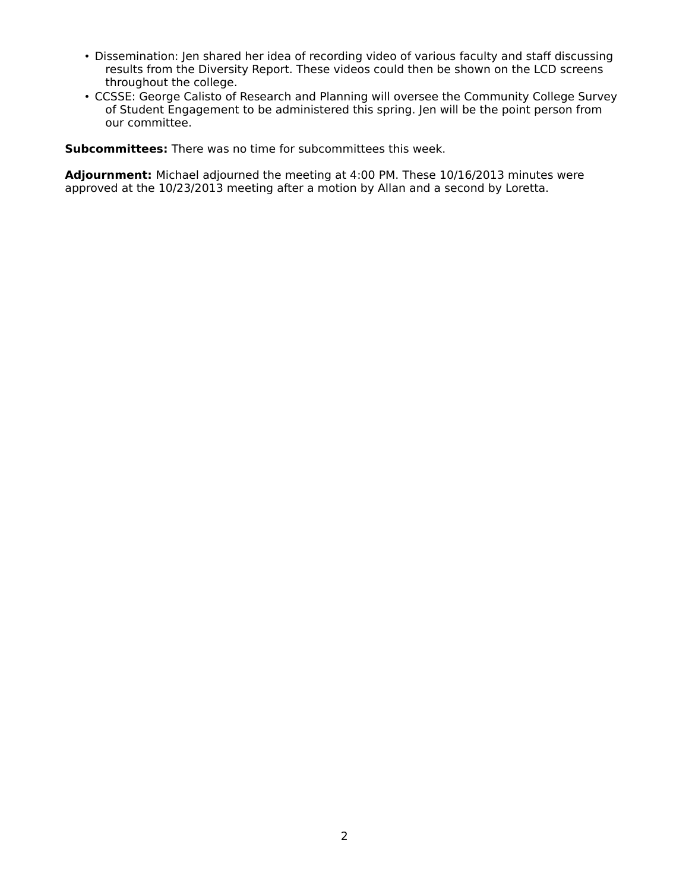- Dissemination: Jen shared her idea of recording video of various faculty and staff discussing results from the Diversity Report. These videos could then be shown on the LCD screens throughout the college.
- CCSSE: George Calisto of Research and Planning will oversee the Community College Survey of Student Engagement to be administered this spring. Jen will be the point person from our committee.

**Subcommittees:** There was no time for subcommittees this week.

**Adjournment:** Michael adjourned the meeting at 4:00 PM. These 10/16/2013 minutes were approved at the 10/23/2013 meeting after a motion by Allan and a second by Loretta.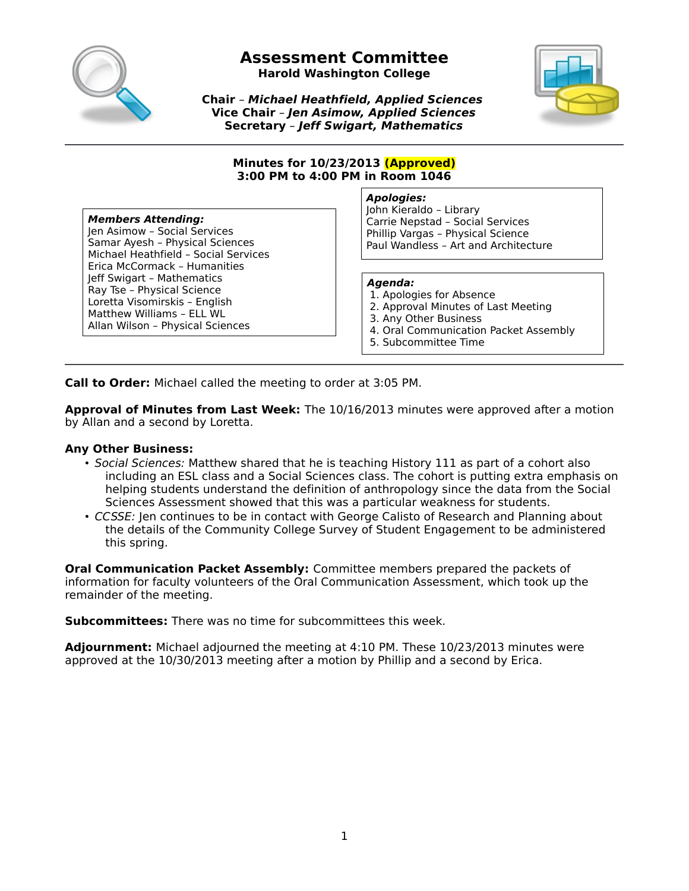

**Harold Washington College**



**Chair** – **Michael Heathfield, Applied Sciences Vice Chair** – **Jen Asimow, Applied Sciences Secretary** – **Jeff Swigart, Mathematics**

#### **Minutes for 10/23/2013 (Approved) 3:00 PM to 4:00 PM in Room 1046**

#### **Members Attending:**

Jen Asimow – Social Services Samar Ayesh – Physical Sciences Michael Heathfield – Social Services Erica McCormack – Humanities Jeff Swigart – Mathematics Ray Tse – Physical Science Loretta Visomirskis – English Matthew Williams – ELL WL Allan Wilson – Physical Sciences

#### **Apologies:**

John Kieraldo – Library Carrie Nepstad – Social Services Phillip Vargas – Physical Science Paul Wandless – Art and Architecture

#### **Agenda:**

- 1. Apologies for Absence
- 2. Approval Minutes of Last Meeting
- 3. Any Other Business
- 4. Oral Communication Packet Assembly
- 5. Subcommittee Time

**Call to Order:** Michael called the meeting to order at 3:05 PM.

**Approval of Minutes from Last Week:** The 10/16/2013 minutes were approved after a motion by Allan and a second by Loretta.

#### **Any Other Business:**

- Social Sciences: Matthew shared that he is teaching History 111 as part of a cohort also including an ESL class and a Social Sciences class. The cohort is putting extra emphasis on helping students understand the definition of anthropology since the data from the Social Sciences Assessment showed that this was a particular weakness for students.
- CCSSE: Jen continues to be in contact with George Calisto of Research and Planning about the details of the Community College Survey of Student Engagement to be administered this spring.

**Oral Communication Packet Assembly:** Committee members prepared the packets of information for faculty volunteers of the Oral Communication Assessment, which took up the remainder of the meeting.

**Subcommittees:** There was no time for subcommittees this week.

**Adjournment:** Michael adjourned the meeting at 4:10 PM. These 10/23/2013 minutes were approved at the 10/30/2013 meeting after a motion by Phillip and a second by Erica.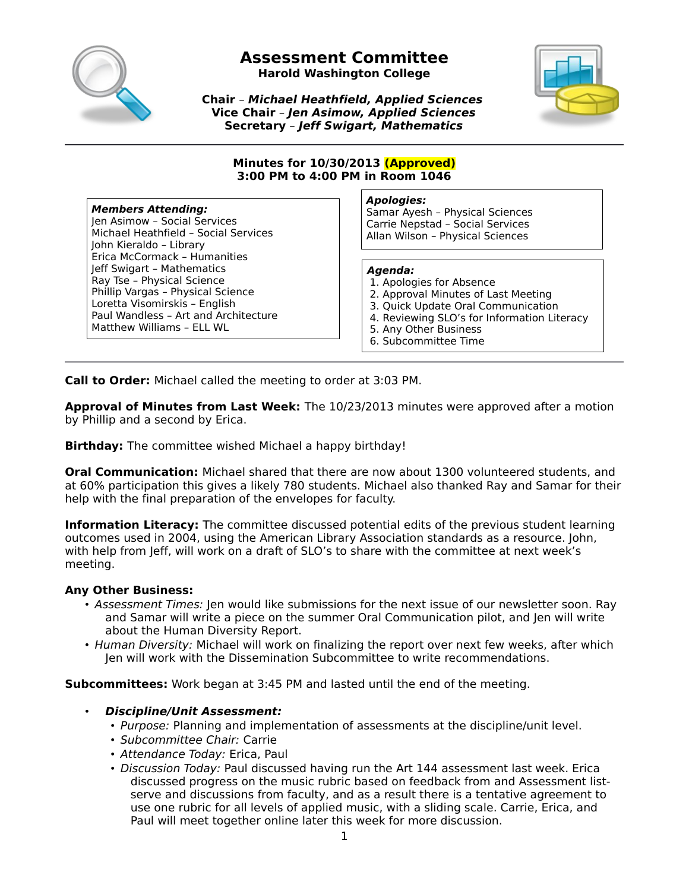

**Harold Washington College**



**Chair** – **Michael Heathfield, Applied Sciences Vice Chair** – **Jen Asimow, Applied Sciences Secretary** – **Jeff Swigart, Mathematics**

#### **Minutes for 10/30/2013 (Approved) 3:00 PM to 4:00 PM in Room 1046**

#### **Members Attending:**

Jen Asimow – Social Services Michael Heathfield – Social Services John Kieraldo – Library Erica McCormack – Humanities Jeff Swigart – Mathematics Ray Tse – Physical Science Phillip Vargas – Physical Science Loretta Visomirskis – English Paul Wandless – Art and Architecture Matthew Williams – ELL WL

#### **Apologies:**

Samar Ayesh – Physical Sciences Carrie Nepstad – Social Services Allan Wilson – Physical Sciences

#### **Agenda:**

- 1. Apologies for Absence
- 2. Approval Minutes of Last Meeting
- 3. Quick Update Oral Communication
- 4. Reviewing SLO's for Information Literacy
- 5. Any Other Business
- 6. Subcommittee Time

**Call to Order:** Michael called the meeting to order at 3:03 PM.

**Approval of Minutes from Last Week:** The 10/23/2013 minutes were approved after a motion by Phillip and a second by Erica.

**Birthday:** The committee wished Michael a happy birthday!

**Oral Communication:** Michael shared that there are now about 1300 volunteered students, and at 60% participation this gives a likely 780 students. Michael also thanked Ray and Samar for their help with the final preparation of the envelopes for faculty.

**Information Literacy:** The committee discussed potential edits of the previous student learning outcomes used in 2004, using the American Library Association standards as a resource. John, with help from Jeff, will work on a draft of SLO's to share with the committee at next week's meeting.

#### **Any Other Business:**

- Assessment Times: Jen would like submissions for the next issue of our newsletter soon. Ray and Samar will write a piece on the summer Oral Communication pilot, and Jen will write about the Human Diversity Report.
- Human Diversity: Michael will work on finalizing the report over next few weeks, after which Jen will work with the Dissemination Subcommittee to write recommendations.

**Subcommittees:** Work began at 3:45 PM and lasted until the end of the meeting.

#### • **Discipline/Unit Assessment:**

- Purpose: Planning and implementation of assessments at the discipline/unit level.
- Subcommittee Chair: Carrie
- Attendance Today: Erica, Paul
- Discussion Today: Paul discussed having run the Art 144 assessment last week. Erica discussed progress on the music rubric based on feedback from and Assessment listserve and discussions from faculty, and as a result there is a tentative agreement to use one rubric for all levels of applied music, with a sliding scale. Carrie, Erica, and Paul will meet together online later this week for more discussion.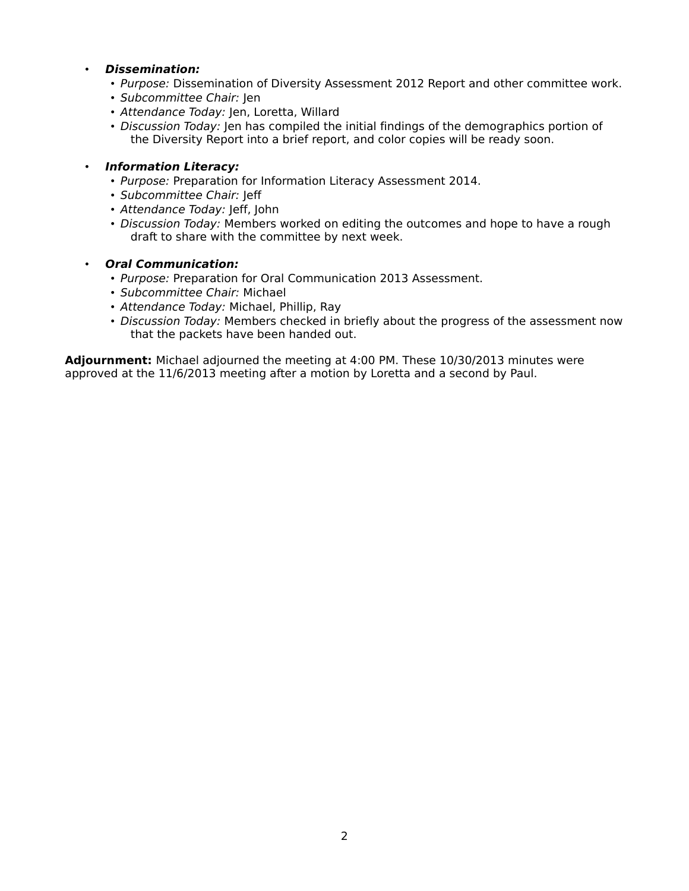#### • **Dissemination:**

- Purpose: Dissemination of Diversity Assessment 2012 Report and other committee work.
- Subcommittee Chair: Jen
- Attendance Today: Jen, Loretta, Willard
- Discussion Today: Jen has compiled the initial findings of the demographics portion of the Diversity Report into a brief report, and color copies will be ready soon.

#### • **Information Literacy:**

- Purpose: Preparation for Information Literacy Assessment 2014.
- Subcommittee Chair: Jeff
- Attendance Today: Jeff, John
- Discussion Today: Members worked on editing the outcomes and hope to have a rough draft to share with the committee by next week.

#### • **Oral Communication:**

- Purpose: Preparation for Oral Communication 2013 Assessment.
- Subcommittee Chair: Michael
- Attendance Today: Michael, Phillip, Ray
- Discussion Today: Members checked in briefly about the progress of the assessment now that the packets have been handed out.

**Adjournment:** Michael adjourned the meeting at 4:00 PM. These 10/30/2013 minutes were approved at the 11/6/2013 meeting after a motion by Loretta and a second by Paul.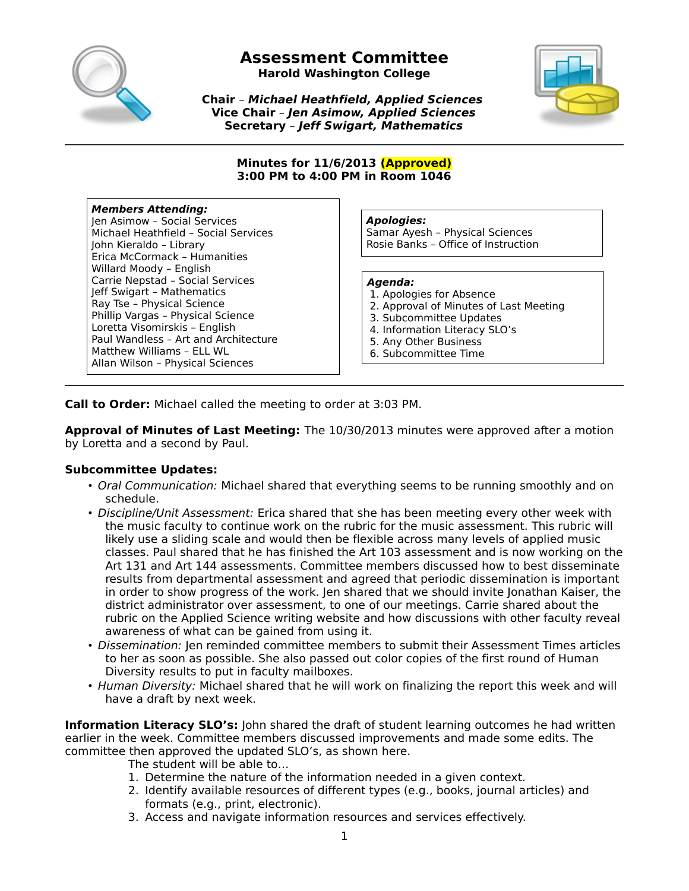

**Harold Washington College**

**Chair** – **Michael Heathfield, Applied Sciences Vice Chair** – **Jen Asimow, Applied Sciences Secretary** – **Jeff Swigart, Mathematics**



#### **Minutes for 11/6/2013 (Approved) 3:00 PM to 4:00 PM in Room 1046**

### **Members Attending:**

Jen Asimow – Social Services Michael Heathfield – Social Services John Kieraldo – Library Erica McCormack – Humanities Willard Moody – English Carrie Nepstad – Social Services Jeff Swigart – Mathematics Ray Tse – Physical Science Phillip Vargas – Physical Science Loretta Visomirskis – English Paul Wandless – Art and Architecture Matthew Williams – ELL WL Allan Wilson – Physical Sciences

**Apologies:**

Samar Ayesh – Physical Sciences Rosie Banks – Office of Instruction

#### **Agenda:**

- 1. Apologies for Absence
- 2. Approval of Minutes of Last Meeting
- 3. Subcommittee Updates
- 4. Information Literacy SLO's
- 5. Any Other Business
- 6. Subcommittee Time

**Call to Order:** Michael called the meeting to order at 3:03 PM.

**Approval of Minutes of Last Meeting:** The 10/30/2013 minutes were approved after a motion by Loretta and a second by Paul.

# **Subcommittee Updates:**

- Oral Communication: Michael shared that everything seems to be running smoothly and on schedule.
- Discipline/Unit Assessment: Erica shared that she has been meeting every other week with the music faculty to continue work on the rubric for the music assessment. This rubric will likely use a sliding scale and would then be flexible across many levels of applied music classes. Paul shared that he has finished the Art 103 assessment and is now working on the Art 131 and Art 144 assessments. Committee members discussed how to best disseminate results from departmental assessment and agreed that periodic dissemination is important in order to show progress of the work. Jen shared that we should invite Jonathan Kaiser, the district administrator over assessment, to one of our meetings. Carrie shared about the rubric on the Applied Science writing website and how discussions with other faculty reveal awareness of what can be gained from using it.
- Dissemination: Jen reminded committee members to submit their Assessment Times articles to her as soon as possible. She also passed out color copies of the first round of Human Diversity results to put in faculty mailboxes.
- Human Diversity: Michael shared that he will work on finalizing the report this week and will have a draft by next week.

**Information Literacy SLO's:** John shared the draft of student learning outcomes he had written earlier in the week. Committee members discussed improvements and made some edits. The committee then approved the updated SLO's, as shown here.

The student will be able to…

- 1. Determine the nature of the information needed in a given context.
- 2. Identify available resources of different types (e.g., books, journal articles) and formats (e.g., print, electronic).
- 3. Access and navigate information resources and services effectively.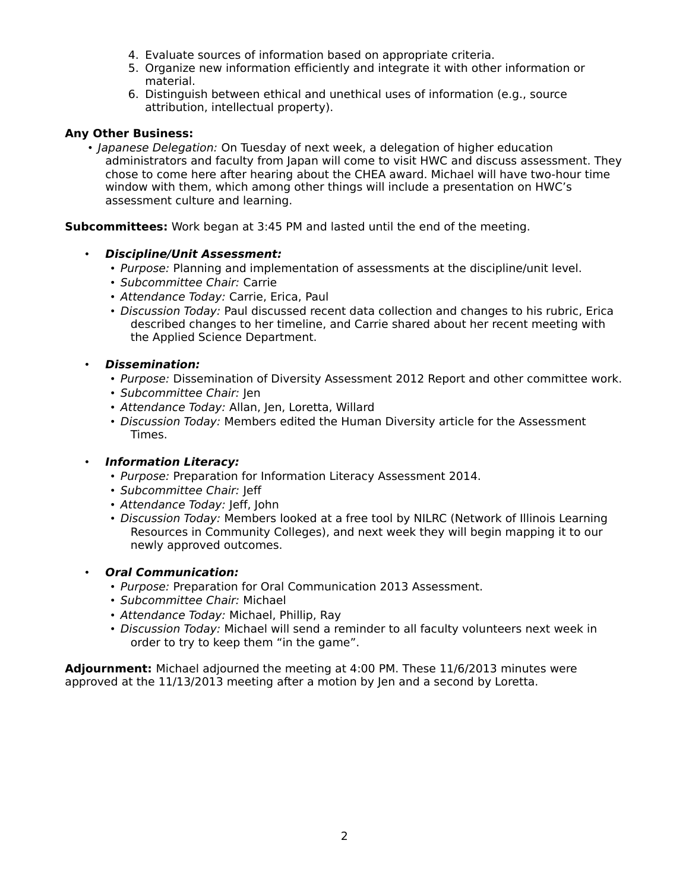- 4. Evaluate sources of information based on appropriate criteria.
- 5. Organize new information efficiently and integrate it with other information or material.
- 6. Distinguish between ethical and unethical uses of information (e.g., source attribution, intellectual property).

### **Any Other Business:**

• Japanese Delegation: On Tuesday of next week, a delegation of higher education administrators and faculty from Japan will come to visit HWC and discuss assessment. They chose to come here after hearing about the CHEA award. Michael will have two-hour time window with them, which among other things will include a presentation on HWC's assessment culture and learning.

**Subcommittees:** Work began at 3:45 PM and lasted until the end of the meeting.

- **Discipline/Unit Assessment:**
	- Purpose: Planning and implementation of assessments at the discipline/unit level.
	- Subcommittee Chair: Carrie
	- Attendance Today: Carrie, Erica, Paul
	- Discussion Today: Paul discussed recent data collection and changes to his rubric, Erica described changes to her timeline, and Carrie shared about her recent meeting with the Applied Science Department.
- **Dissemination:**
	- Purpose: Dissemination of Diversity Assessment 2012 Report and other committee work.
	- Subcommittee Chair: Jen
	- Attendance Today: Allan, Jen, Loretta, Willard
	- Discussion Today: Members edited the Human Diversity article for the Assessment Times.

# • **Information Literacy:**

- Purpose: Preparation for Information Literacy Assessment 2014.
- Subcommittee Chair: Jeff
- Attendance Today: Jeff, John
- Discussion Today: Members looked at a free tool by NILRC (Network of Illinois Learning Resources in Community Colleges), and next week they will begin mapping it to our newly approved outcomes.

# • **Oral Communication:**

- Purpose: Preparation for Oral Communication 2013 Assessment.
- Subcommittee Chair: Michael
- Attendance Today: Michael, Phillip, Ray
- Discussion Today: Michael will send a reminder to all faculty volunteers next week in order to try to keep them "in the game".

**Adjournment:** Michael adjourned the meeting at 4:00 PM. These 11/6/2013 minutes were approved at the 11/13/2013 meeting after a motion by Jen and a second by Loretta.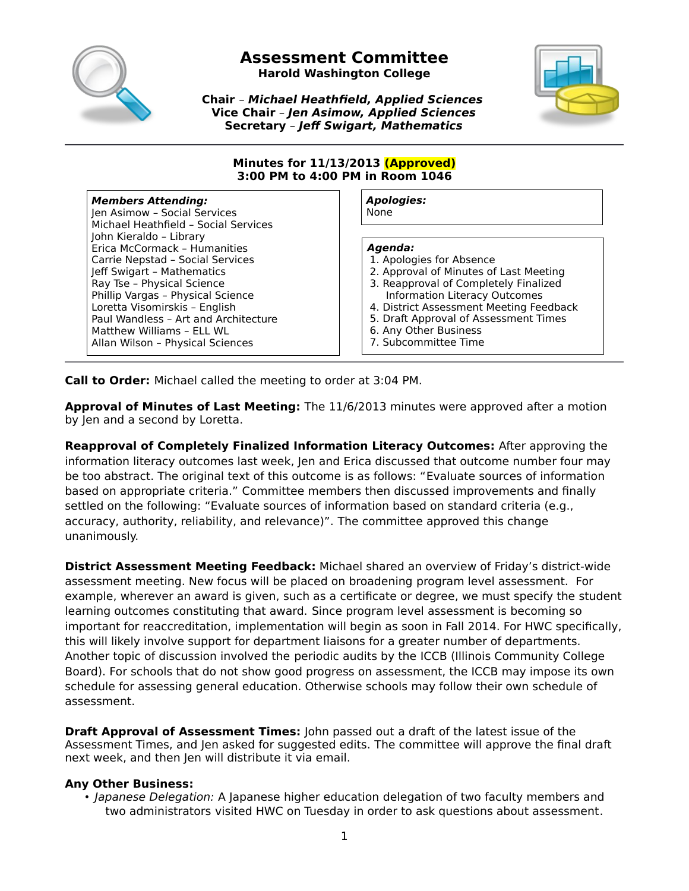

**Harold Washington College**

**Chair** – **Michael Heathfield, Applied Sciences Vice Chair** – **Jen Asimow, Applied Sciences Secretary** – **Jeff Swigart, Mathematics**



#### **Minutes for 11/13/2013 (Approved) 3:00 PM to 4:00 PM in Room 1046**

#### **Members Attending:** Jen Asimow – Social Services

Michael Heathfield – Social Services John Kieraldo – Library Erica McCormack – Humanities Carrie Nepstad – Social Services Jeff Swigart – Mathematics Ray Tse – Physical Science Phillip Vargas – Physical Science Loretta Visomirskis – English Paul Wandless – Art and Architecture Matthew Williams – ELL WL Allan Wilson – Physical Sciences

**Apologies:** None

## **Agenda:**

- 1. Apologies for Absence
- 2. Approval of Minutes of Last Meeting
- 3. Reapproval of Completely Finalized Information Literacy Outcomes
- 4. District Assessment Meeting Feedback
- 5. Draft Approval of Assessment Times
- 6. Any Other Business
- 7. Subcommittee Time

**Call to Order:** Michael called the meeting to order at 3:04 PM.

**Approval of Minutes of Last Meeting:** The 11/6/2013 minutes were approved after a motion by Jen and a second by Loretta.

**Reapproval of Completely Finalized Information Literacy Outcomes:** After approving the information literacy outcomes last week, Jen and Erica discussed that outcome number four may be too abstract. The original text of this outcome is as follows: "Evaluate sources of information based on appropriate criteria." Committee members then discussed improvements and finally settled on the following: "Evaluate sources of information based on standard criteria (e.g., accuracy, authority, reliability, and relevance)". The committee approved this change unanimously.

**District Assessment Meeting Feedback:** Michael shared an overview of Friday's district-wide assessment meeting. New focus will be placed on broadening program level assessment. For example, wherever an award is given, such as a certificate or degree, we must specify the student learning outcomes constituting that award. Since program level assessment is becoming so important for reaccreditation, implementation will begin as soon in Fall 2014. For HWC specifically, this will likely involve support for department liaisons for a greater number of departments. Another topic of discussion involved the periodic audits by the ICCB (Illinois Community College Board). For schools that do not show good progress on assessment, the ICCB may impose its own schedule for assessing general education. Otherwise schools may follow their own schedule of assessment.

**Draft Approval of Assessment Times:** John passed out a draft of the latest issue of the Assessment Times, and Jen asked for suggested edits. The committee will approve the final draft next week, and then Jen will distribute it via email.

#### **Any Other Business:**

• Japanese Delegation: A Japanese higher education delegation of two faculty members and two administrators visited HWC on Tuesday in order to ask questions about assessment.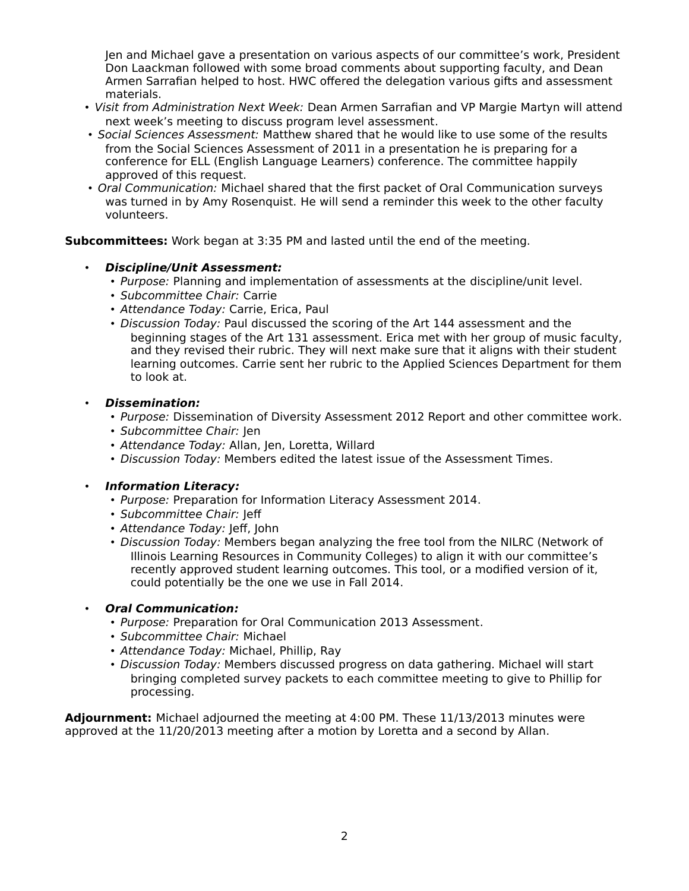Jen and Michael gave a presentation on various aspects of our committee's work, President Don Laackman followed with some broad comments about supporting faculty, and Dean Armen Sarrafian helped to host. HWC offered the delegation various gifts and assessment materials.

- Visit from Administration Next Week: Dean Armen Sarrafian and VP Margie Martyn will attend next week's meeting to discuss program level assessment.
- Social Sciences Assessment: Matthew shared that he would like to use some of the results from the Social Sciences Assessment of 2011 in a presentation he is preparing for a conference for ELL (English Language Learners) conference. The committee happily approved of this request.
- Oral Communication: Michael shared that the first packet of Oral Communication surveys was turned in by Amy Rosenquist. He will send a reminder this week to the other faculty volunteers.

**Subcommittees:** Work began at 3:35 PM and lasted until the end of the meeting.

- **Discipline/Unit Assessment:**
	- Purpose: Planning and implementation of assessments at the discipline/unit level.
	- Subcommittee Chair: Carrie
	- Attendance Today: Carrie, Erica, Paul
	- Discussion Today: Paul discussed the scoring of the Art 144 assessment and the beginning stages of the Art 131 assessment. Erica met with her group of music faculty, and they revised their rubric. They will next make sure that it aligns with their student learning outcomes. Carrie sent her rubric to the Applied Sciences Department for them to look at.

#### • **Dissemination:**

- Purpose: Dissemination of Diversity Assessment 2012 Report and other committee work.
- Subcommittee Chair: Jen
- Attendance Today: Allan, Jen, Loretta, Willard
- Discussion Today: Members edited the latest issue of the Assessment Times.

#### • **Information Literacy:**

- Purpose: Preparation for Information Literacy Assessment 2014.
- Subcommittee Chair: Jeff
- Attendance Today: Jeff, John
- Discussion Today: Members began analyzing the free tool from the NILRC (Network of Illinois Learning Resources in Community Colleges) to align it with our committee's recently approved student learning outcomes. This tool, or a modified version of it, could potentially be the one we use in Fall 2014.

#### • **Oral Communication:**

- Purpose: Preparation for Oral Communication 2013 Assessment.
- Subcommittee Chair: Michael
- Attendance Today: Michael, Phillip, Ray
- Discussion Today: Members discussed progress on data gathering. Michael will start bringing completed survey packets to each committee meeting to give to Phillip for processing.

**Adjournment:** Michael adjourned the meeting at 4:00 PM. These 11/13/2013 minutes were approved at the 11/20/2013 meeting after a motion by Loretta and a second by Allan.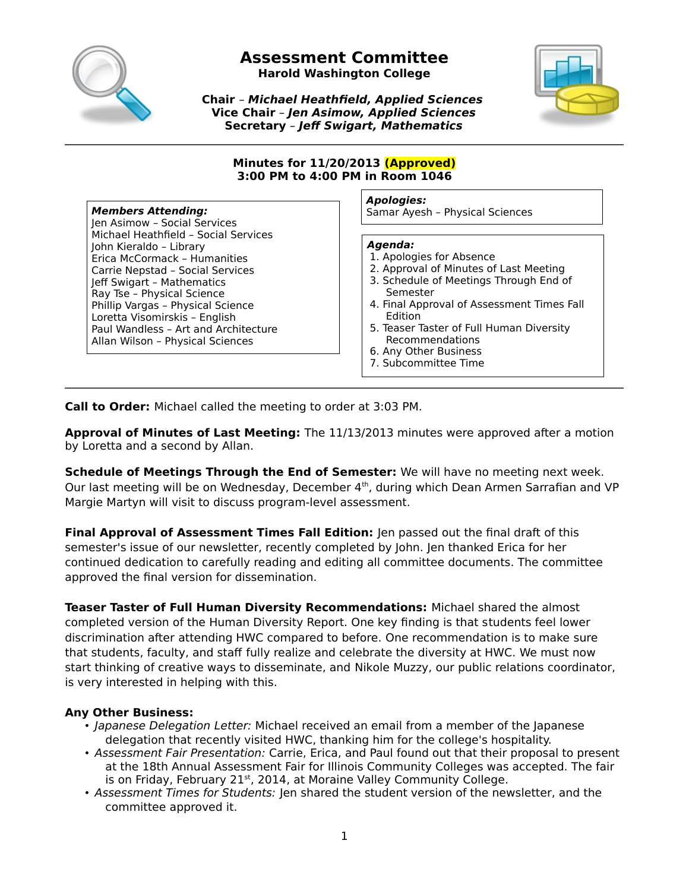

**Harold Washington College**

**Chair** – **Michael Heathfield, Applied Sciences Vice Chair** – **Jen Asimow, Applied Sciences Secretary** – **Jeff Swigart, Mathematics**



#### **Minutes for 11/20/2013 (Approved) 3:00 PM to 4:00 PM in Room 1046**

Jen Asimow – Social Services Michael Heathfield – Social Services John Kieraldo – Library Erica McCormack – Humanities Carrie Nepstad – Social Services Jeff Swigart – Mathematics Ray Tse – Physical Science Phillip Vargas – Physical Science Loretta Visomirskis – English Paul Wandless – Art and Architecture Allan Wilson – Physical Sciences

#### **Apologies:**

**Members Attending:** National Samar Ayesh – Physical Sciences

#### **Agenda:**

- 1. Apologies for Absence
- 2. Approval of Minutes of Last Meeting
- 3. Schedule of Meetings Through End of Semester
- 4. Final Approval of Assessment Times Fall Edition
- 5. Teaser Taster of Full Human Diversity Recommendations
- 6. Any Other Business
- 7. Subcommittee Time

**Call to Order:** Michael called the meeting to order at 3:03 PM.

**Approval of Minutes of Last Meeting:** The 11/13/2013 minutes were approved after a motion by Loretta and a second by Allan.

**Schedule of Meetings Through the End of Semester:** We will have no meeting next week. Our last meeting will be on Wednesday, December  $4<sup>th</sup>$ , during which Dean Armen Sarrafian and VP Margie Martyn will visit to discuss program-level assessment.

**Final Approval of Assessment Times Fall Edition:** Jen passed out the final draft of this semester's issue of our newsletter, recently completed by John. Jen thanked Erica for her continued dedication to carefully reading and editing all committee documents. The committee approved the final version for dissemination.

**Teaser Taster of Full Human Diversity Recommendations:** Michael shared the almost completed version of the Human Diversity Report. One key finding is that students feel lower discrimination after attending HWC compared to before. One recommendation is to make sure that students, faculty, and staff fully realize and celebrate the diversity at HWC. We must now start thinking of creative ways to disseminate, and Nikole Muzzy, our public relations coordinator, is very interested in helping with this.

# **Any Other Business:**

- Japanese Delegation Letter: Michael received an email from a member of the Japanese delegation that recently visited HWC, thanking him for the college's hospitality.
- Assessment Fair Presentation: Carrie, Erica, and Paul found out that their proposal to present at the 18th Annual Assessment Fair for Illinois Community Colleges was accepted. The fair is on Friday, February 21st, 2014, at Moraine Valley Community College.
- Assessment Times for Students: Jen shared the student version of the newsletter, and the committee approved it.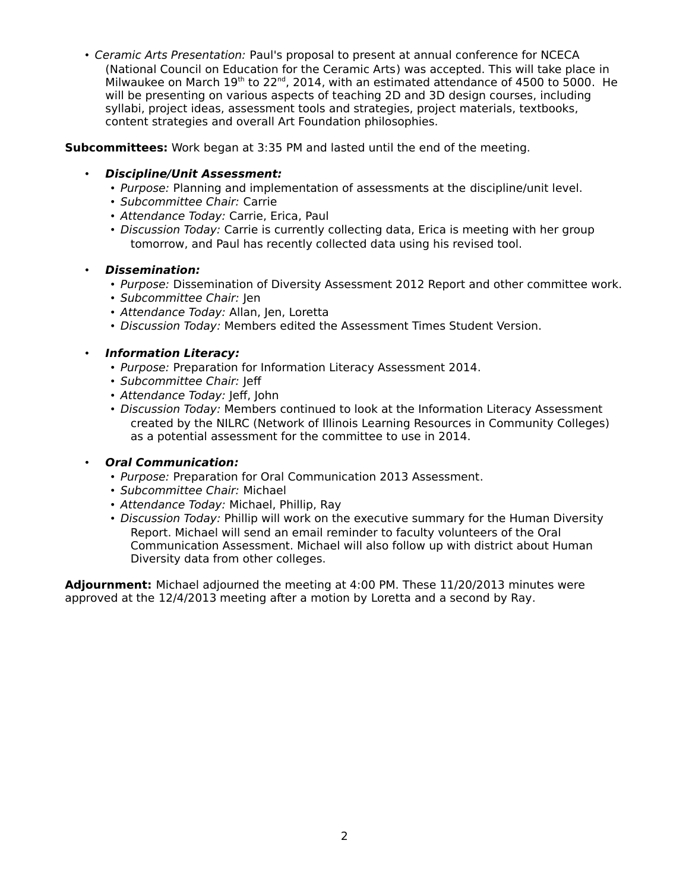• Ceramic Arts Presentation: Paul's proposal to present at annual conference for NCECA (National Council on Education for the Ceramic Arts) was accepted. This will take place in Milwaukee on March 19<sup>th</sup> to 22<sup>nd</sup>, 2014, with an estimated attendance of 4500 to 5000. He will be presenting on various aspects of teaching 2D and 3D design courses, including syllabi, project ideas, assessment tools and strategies, project materials, textbooks, content strategies and overall Art Foundation philosophies.

#### **Subcommittees:** Work began at 3:35 PM and lasted until the end of the meeting.

### • **Discipline/Unit Assessment:**

- Purpose: Planning and implementation of assessments at the discipline/unit level.
- Subcommittee Chair: Carrie
- Attendance Today: Carrie, Erica, Paul
- Discussion Today: Carrie is currently collecting data, Erica is meeting with her group tomorrow, and Paul has recently collected data using his revised tool.
- **Dissemination:**
	- Purpose: Dissemination of Diversity Assessment 2012 Report and other committee work.
	- Subcommittee Chair: Jen
	- Attendance Today: Allan, Jen, Loretta
	- Discussion Today: Members edited the Assessment Times Student Version.

#### • **Information Literacy:**

- Purpose: Preparation for Information Literacy Assessment 2014.
- Subcommittee Chair: Jeff
- Attendance Today: Jeff, John
- Discussion Today: Members continued to look at the Information Literacy Assessment created by the NILRC (Network of Illinois Learning Resources in Community Colleges) as a potential assessment for the committee to use in 2014.

# • **Oral Communication:**

- Purpose: Preparation for Oral Communication 2013 Assessment.
- Subcommittee Chair: Michael
- Attendance Today: Michael, Phillip, Ray
- Discussion Today: Phillip will work on the executive summary for the Human Diversity Report. Michael will send an email reminder to faculty volunteers of the Oral Communication Assessment. Michael will also follow up with district about Human Diversity data from other colleges.

**Adjournment:** Michael adjourned the meeting at 4:00 PM. These 11/20/2013 minutes were approved at the 12/4/2013 meeting after a motion by Loretta and a second by Ray.